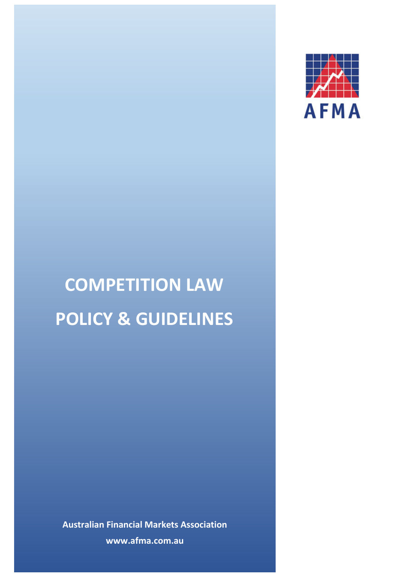

# **COMPETITION LAW POLICY & GUIDELINES**

**Australian Financial Markets Association www.afma.com.au**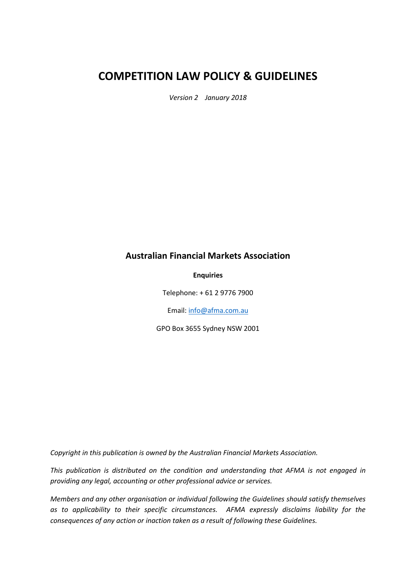# **COMPETITION LAW POLICY & GUIDELINES**

*Version 2 January 2018*

## **Australian Financial Markets Association**

**Enquiries**

Telephone: + 61 2 9776 7900

Email[: info@afma.com.au](mailto:info@afma.com.au)

GPO Box 3655 Sydney NSW 2001

*Copyright in this publication is owned by the Australian Financial Markets Association.*

*This publication is distributed on the condition and understanding that AFMA is not engaged in providing any legal, accounting or other professional advice or services.*

*Members and any other organisation or individual following the Guidelines should satisfy themselves as to applicability to their specific circumstances. AFMA expressly disclaims liability for the consequences of any action or inaction taken as a result of following these Guidelines.*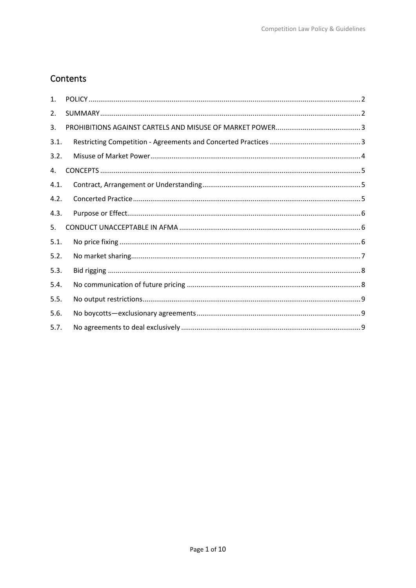## Contents

| 1 <sub>1</sub> |  |
|----------------|--|
| 2.             |  |
| 3.             |  |
| 3.1.           |  |
| 3.2.           |  |
| 4.             |  |
| 4.1.           |  |
| 4.2.           |  |
| 4.3.           |  |
| 5.             |  |
| 5.1.           |  |
| 5.2.           |  |
| 5.3.           |  |
| 5.4.           |  |
| 5.5.           |  |
| 5.6.           |  |
| 5.7.           |  |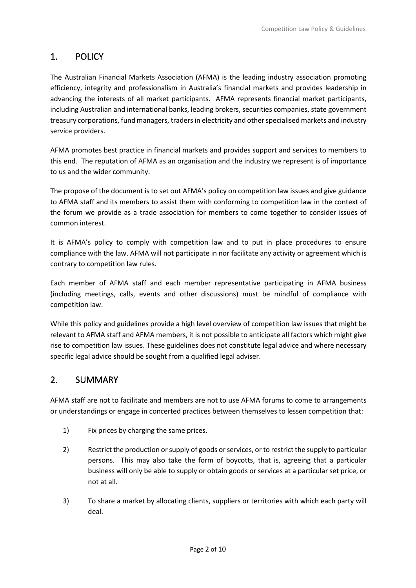## <span id="page-3-0"></span>1. POLICY

The Australian Financial Markets Association (AFMA) is the leading industry association promoting efficiency, integrity and professionalism in Australia's financial markets and provides leadership in advancing the interests of all market participants. AFMA represents financial market participants, including Australian and international banks, leading brokers, securities companies, state government treasury corporations, fund managers, traders in electricity and other specialised markets and industry service providers.

AFMA promotes best practice in financial markets and provides support and services to members to this end. The reputation of AFMA as an organisation and the industry we represent is of importance to us and the wider community.

The propose of the document is to set out AFMA's policy on competition law issues and give guidance to AFMA staff and its members to assist them with conforming to competition law in the context of the forum we provide as a trade association for members to come together to consider issues of common interest.

It is AFMA's policy to comply with competition law and to put in place procedures to ensure compliance with the law. AFMA will not participate in nor facilitate any activity or agreement which is contrary to competition law rules.

Each member of AFMA staff and each member representative participating in AFMA business (including meetings, calls, events and other discussions) must be mindful of compliance with competition law.

While this policy and guidelines provide a high level overview of competition law issues that might be relevant to AFMA staff and AFMA members, it is not possible to anticipate all factors which might give rise to competition law issues. These guidelines does not constitute legal advice and where necessary specific legal advice should be sought from a qualified legal adviser.

## <span id="page-3-1"></span>2. SUMMARY

AFMA staff are not to facilitate and members are not to use AFMA forums to come to arrangements or understandings or engage in concerted practices between themselves to lessen competition that:

- 1) Fix prices by charging the same prices.
- 2) Restrict the production or supply of goods or services, or to restrict the supply to particular persons. This may also take the form of boycotts, that is, agreeing that a particular business will only be able to supply or obtain goods or services at a particular set price, or not at all.
- 3) To share a market by allocating clients, suppliers or territories with which each party will deal.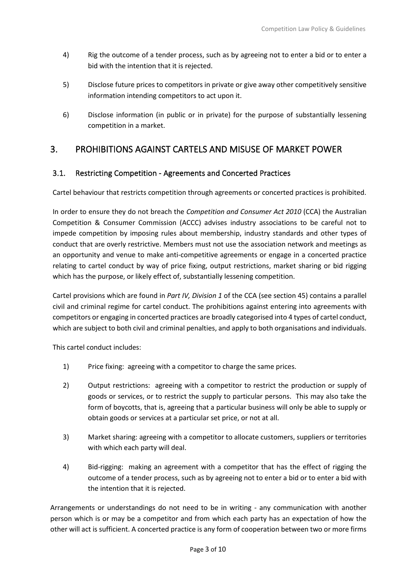- 4) Rig the outcome of a tender process, such as by agreeing not to enter a bid or to enter a bid with the intention that it is rejected.
- 5) Disclose future prices to competitors in private or give away other competitively sensitive information intending competitors to act upon it.
- 6) Disclose information (in public or in private) for the purpose of substantially lessening competition in a market.

## <span id="page-4-0"></span>3. PROHIBITIONS AGAINST CARTELS AND MISUSE OF MARKET POWER

#### <span id="page-4-1"></span>3.1. Restricting Competition - Agreements and Concerted Practices

Cartel behaviour that restricts competition through agreements or concerted practices is prohibited.

In order to ensure they do not breach the *Competition and Consumer Act 2010* (CCA) the Australian Competition & Consumer Commission (ACCC) advises industry associations to be careful not to impede competition by imposing rules about membership, industry standards and other types of conduct that are overly restrictive. Members must not use the association network and meetings as an opportunity and venue to make anti-competitive agreements or engage in a concerted practice relating to cartel conduct by way of price fixing, output restrictions, market sharing or bid rigging which has the purpose, or likely effect of, substantially lessening competition.

Cartel provisions which are found in *Part IV, Division 1* of the CCA (see section 45) contains a parallel civil and criminal regime for cartel conduct. The prohibitions against entering into agreements with competitors or engaging in concerted practices are broadly categorised into 4 types of cartel conduct, which are subject to both civil and criminal penalties, and apply to both organisations and individuals.

This cartel conduct includes:

- 1) Price fixing: agreeing with a competitor to charge the same prices.
- 2) Output restrictions: agreeing with a competitor to restrict the production or supply of goods or services, or to restrict the supply to particular persons. This may also take the form of boycotts, that is, agreeing that a particular business will only be able to supply or obtain goods or services at a particular set price, or not at all.
- 3) Market sharing: agreeing with a competitor to allocate customers, suppliers or territories with which each party will deal.
- 4) Bid-rigging: making an agreement with a competitor that has the effect of rigging the outcome of a tender process, such as by agreeing not to enter a bid or to enter a bid with the intention that it is rejected.

Arrangements or understandings do not need to be in writing - any communication with another person which is or may be a competitor and from which each party has an expectation of how the other will act is sufficient. A concerted practice is any form of cooperation between two or more firms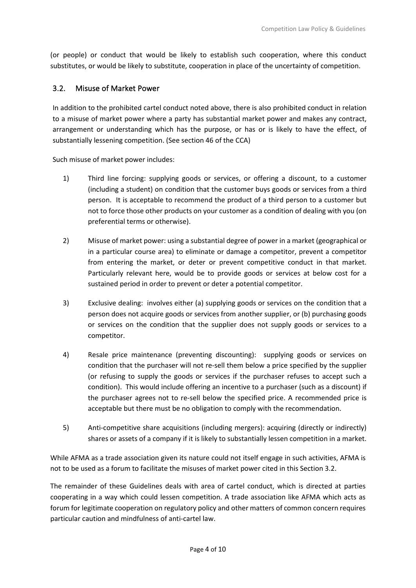(or people) or conduct that would be likely to establish such cooperation, where this conduct substitutes, or would be likely to substitute, cooperation in place of the uncertainty of competition.

#### <span id="page-5-0"></span>3.2. Misuse of Market Power

In addition to the prohibited cartel conduct noted above, there is also prohibited conduct in relation to a misuse of market power where a party has substantial market power and makes any contract, arrangement or understanding which has the purpose, or has or is likely to have the effect, of substantially lessening competition. (See section 46 of the CCA)

Such misuse of market power includes:

- 1) Third line forcing: supplying goods or services, or offering a discount, to a customer (including a student) on condition that the customer buys goods or services from a third person. It is acceptable to recommend the product of a third person to a customer but not to force those other products on your customer as a condition of dealing with you (on preferential terms or otherwise).
- 2) Misuse of market power: using a substantial degree of power in a market (geographical or in a particular course area) to eliminate or damage a competitor, prevent a competitor from entering the market, or deter or prevent competitive conduct in that market. Particularly relevant here, would be to provide goods or services at below cost for a sustained period in order to prevent or deter a potential competitor.
- 3) Exclusive dealing: involves either (a) supplying goods or services on the condition that a person does not acquire goods or services from another supplier, or (b) purchasing goods or services on the condition that the supplier does not supply goods or services to a competitor.
- 4) Resale price maintenance (preventing discounting): supplying goods or services on condition that the purchaser will not re-sell them below a price specified by the supplier (or refusing to supply the goods or services if the purchaser refuses to accept such a condition). This would include offering an incentive to a purchaser (such as a discount) if the purchaser agrees not to re-sell below the specified price. A recommended price is acceptable but there must be no obligation to comply with the recommendation.
- 5) Anti-competitive share acquisitions (including mergers): acquiring (directly or indirectly) shares or assets of a company if it is likely to substantially lessen competition in a market.

While AFMA as a trade association given its nature could not itself engage in such activities, AFMA is not to be used as a forum to facilitate the misuses of market power cited in this Section 3.2.

The remainder of these Guidelines deals with area of cartel conduct, which is directed at parties cooperating in a way which could lessen competition. A trade association like AFMA which acts as forum for legitimate cooperation on regulatory policy and other matters of common concern requires particular caution and mindfulness of anti-cartel law.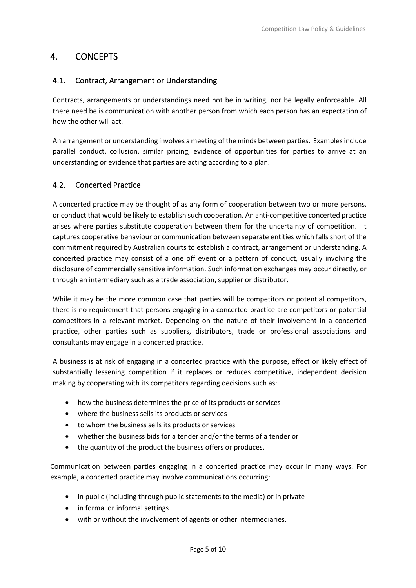## <span id="page-6-0"></span>4. CONCEPTS

#### <span id="page-6-1"></span>4.1. Contract, Arrangement or Understanding

Contracts, arrangements or understandings need not be in writing, nor be legally enforceable. All there need be is communication with another person from which each person has an expectation of how the other will act.

An arrangement or understanding involves a meeting of the minds between parties. Examples include parallel conduct, collusion, similar pricing, evidence of opportunities for parties to arrive at an understanding or evidence that parties are acting according to a plan.

#### <span id="page-6-2"></span>4.2. Concerted Practice

A concerted practice may be thought of as any form of cooperation between two or more persons, or conduct that would be likely to establish such cooperation. An anti-competitive concerted practice arises where parties substitute cooperation between them for the uncertainty of competition. It captures cooperative behaviour or communication between separate entities which falls short of the commitment required by Australian courts to establish a contract, arrangement or understanding. A concerted practice may consist of a one off event or a pattern of conduct, usually involving the disclosure of commercially sensitive information. Such information exchanges may occur directly, or through an intermediary such as a trade association, supplier or distributor.

While it may be the more common case that parties will be competitors or potential competitors, there is no requirement that persons engaging in a concerted practice are competitors or potential competitors in a relevant market. Depending on the nature of their involvement in a concerted practice, other parties such as suppliers, distributors, trade or professional associations and consultants may engage in a concerted practice.

A business is at risk of engaging in a concerted practice with the purpose, effect or likely effect of substantially lessening competition if it replaces or reduces competitive, independent decision making by cooperating with its competitors regarding decisions such as:

- how the business determines the price of its products or services
- where the business sells its products or services
- to whom the business sells its products or services
- whether the business bids for a tender and/or the terms of a tender or
- the quantity of the product the business offers or produces.

Communication between parties engaging in a concerted practice may occur in many ways. For example, a concerted practice may involve communications occurring:

- in public (including through public statements to the media) or in private
- in formal or informal settings
- with or without the involvement of agents or other intermediaries.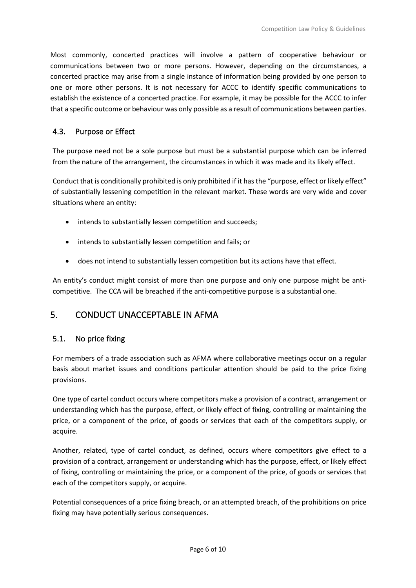Most commonly, concerted practices will involve a pattern of cooperative behaviour or communications between two or more persons. However, depending on the circumstances, a concerted practice may arise from a single instance of information being provided by one person to one or more other persons. It is not necessary for ACCC to identify specific communications to establish the existence of a concerted practice. For example, it may be possible for the ACCC to infer that a specific outcome or behaviour was only possible as a result of communications between parties.

#### <span id="page-7-0"></span>4.3. Purpose or Effect

The purpose need not be a sole purpose but must be a substantial purpose which can be inferred from the nature of the arrangement, the circumstances in which it was made and its likely effect.

Conduct that is conditionally prohibited is only prohibited if it has the "purpose, effect or likely effect" of substantially lessening competition in the relevant market. These words are very wide and cover situations where an entity:

- intends to substantially lessen competition and succeeds;
- intends to substantially lessen competition and fails; or
- does not intend to substantially lessen competition but its actions have that effect.

An entity's conduct might consist of more than one purpose and only one purpose might be anticompetitive. The CCA will be breached if the anti-competitive purpose is a substantial one.

#### <span id="page-7-1"></span>5. CONDUCT UNACCEPTABLE IN AFMA

#### <span id="page-7-2"></span>5.1. No price fixing

For members of a trade association such as AFMA where collaborative meetings occur on a regular basis about market issues and conditions particular attention should be paid to the price fixing provisions.

One type of cartel conduct occurs where competitors make a provision of a contract, arrangement or understanding which has the purpose, effect, or likely effect of fixing, controlling or maintaining the price, or a component of the price, of goods or services that each of the competitors supply, or acquire.

Another, related, type of cartel conduct, as defined, occurs where competitors give effect to a provision of a contract, arrangement or understanding which has the purpose, effect, or likely effect of fixing, controlling or maintaining the price, or a component of the price, of goods or services that each of the competitors supply, or acquire.

Potential consequences of a price fixing breach, or an attempted breach, of the prohibitions on price fixing may have potentially serious consequences.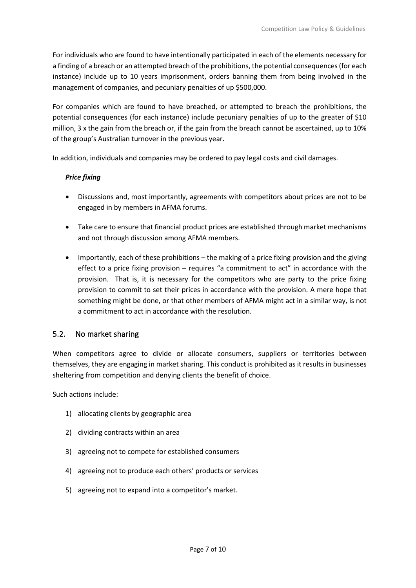For individuals who are found to have intentionally participated in each of the elements necessary for a finding of a breach or an attempted breach of the prohibitions, the potential consequences (for each instance) include up to 10 years imprisonment, orders banning them from being involved in the management of companies, and pecuniary penalties of up \$500,000.

For companies which are found to have breached, or attempted to breach the prohibitions, the potential consequences (for each instance) include pecuniary penalties of up to the greater of \$10 million, 3 x the gain from the breach or, if the gain from the breach cannot be ascertained, up to 10% of the group's Australian turnover in the previous year.

In addition, individuals and companies may be ordered to pay legal costs and civil damages.

#### *Price fixing*

- Discussions and, most importantly, agreements with competitors about prices are not to be engaged in by members in AFMA forums.
- Take care to ensure that financial product prices are established through market mechanisms and not through discussion among AFMA members.
- Importantly, each of these prohibitions the making of a price fixing provision and the giving effect to a price fixing provision – requires "a commitment to act" in accordance with the provision. That is, it is necessary for the competitors who are party to the price fixing provision to commit to set their prices in accordance with the provision. A mere hope that something might be done, or that other members of AFMA might act in a similar way, is not a commitment to act in accordance with the resolution.

#### <span id="page-8-0"></span>5.2. No market sharing

When competitors agree to divide or allocate consumers, suppliers or territories between themselves, they are engaging in market sharing. This conduct is prohibited as it results in businesses sheltering from competition and denying clients the benefit of choice.

Such actions include:

- 1) allocating clients by geographic area
- 2) dividing contracts within an area
- 3) agreeing not to compete for established consumers
- 4) agreeing not to produce each others' products or services
- 5) agreeing not to expand into a competitor's market.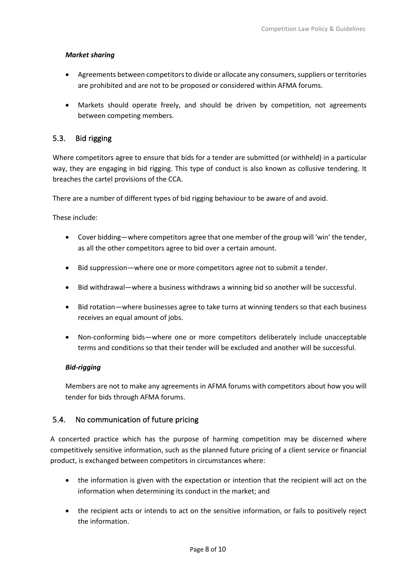#### *Market sharing*

- Agreements between competitors to divide or allocate any consumers, suppliers or territories are prohibited and are not to be proposed or considered within AFMA forums.
- Markets should operate freely, and should be driven by competition, not agreements between competing members.

#### <span id="page-9-0"></span>5.3. Bid rigging

Where competitors agree to ensure that bids for a tender are submitted (or withheld) in a particular way, they are engaging in bid rigging. This type of conduct is also known as collusive tendering. It breaches the cartel provisions of the CCA.

There are a number of different types of bid rigging behaviour to be aware of and avoid.

These include:

- Cover bidding—where competitors agree that one member of the group will 'win' the tender, as all the other competitors agree to bid over a certain amount.
- Bid suppression—where one or more competitors agree not to submit a tender.
- Bid withdrawal—where a business withdraws a winning bid so another will be successful.
- Bid rotation—where businesses agree to take turns at winning tenders so that each business receives an equal amount of jobs.
- Non-conforming bids—where one or more competitors deliberately include unacceptable terms and conditions so that their tender will be excluded and another will be successful.

#### *Bid-rigging*

Members are not to make any agreements in AFMA forums with competitors about how you will tender for bids through AFMA forums.

#### <span id="page-9-1"></span>5.4. No communication of future pricing

A concerted practice which has the purpose of harming competition may be discerned where competitively sensitive information, such as the planned future pricing of a client service or financial product, is exchanged between competitors in circumstances where:

- the information is given with the expectation or intention that the recipient will act on the information when determining its conduct in the market; and
- the recipient acts or intends to act on the sensitive information, or fails to positively reject the information.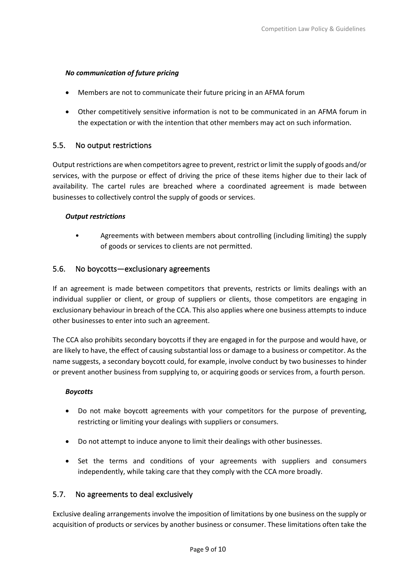#### *No communication of future pricing*

- Members are not to communicate their future pricing in an AFMA forum
- Other competitively sensitive information is not to be communicated in an AFMA forum in the expectation or with the intention that other members may act on such information.

#### <span id="page-10-0"></span>5.5. No output restrictions

Output restrictions are when competitors agree to prevent, restrict or limit the supply of goods and/or services, with the purpose or effect of driving the price of these items higher due to their lack of availability. The cartel rules are breached where a coordinated agreement is made between businesses to collectively control the supply of goods or services.

#### *Output restrictions*

• Agreements with between members about controlling (including limiting) the supply of goods or services to clients are not permitted.

#### <span id="page-10-1"></span>5.6. No boycotts—exclusionary agreements

If an agreement is made between competitors that prevents, restricts or limits dealings with an individual supplier or client, or group of suppliers or clients, those competitors are engaging in exclusionary behaviour in breach of the CCA. This also applies where one business attempts to induce other businesses to enter into such an agreement.

The CCA also prohibits secondary boycotts if they are engaged in for the purpose and would have, or are likely to have, the effect of causing substantial loss or damage to a business or competitor. As the name suggests, a secondary boycott could, for example, involve conduct by two businesses to hinder or prevent another business from supplying to, or acquiring goods or services from, a fourth person.

#### *Boycotts*

- Do not make boycott agreements with your competitors for the purpose of preventing, restricting or limiting your dealings with suppliers or consumers.
- Do not attempt to induce anyone to limit their dealings with other businesses.
- Set the terms and conditions of your agreements with suppliers and consumers independently, while taking care that they comply with the CCA more broadly.

#### <span id="page-10-2"></span>5.7. No agreements to deal exclusively

Exclusive dealing arrangements involve the imposition of limitations by one business on the supply or acquisition of products or services by another business or consumer. These limitations often take the